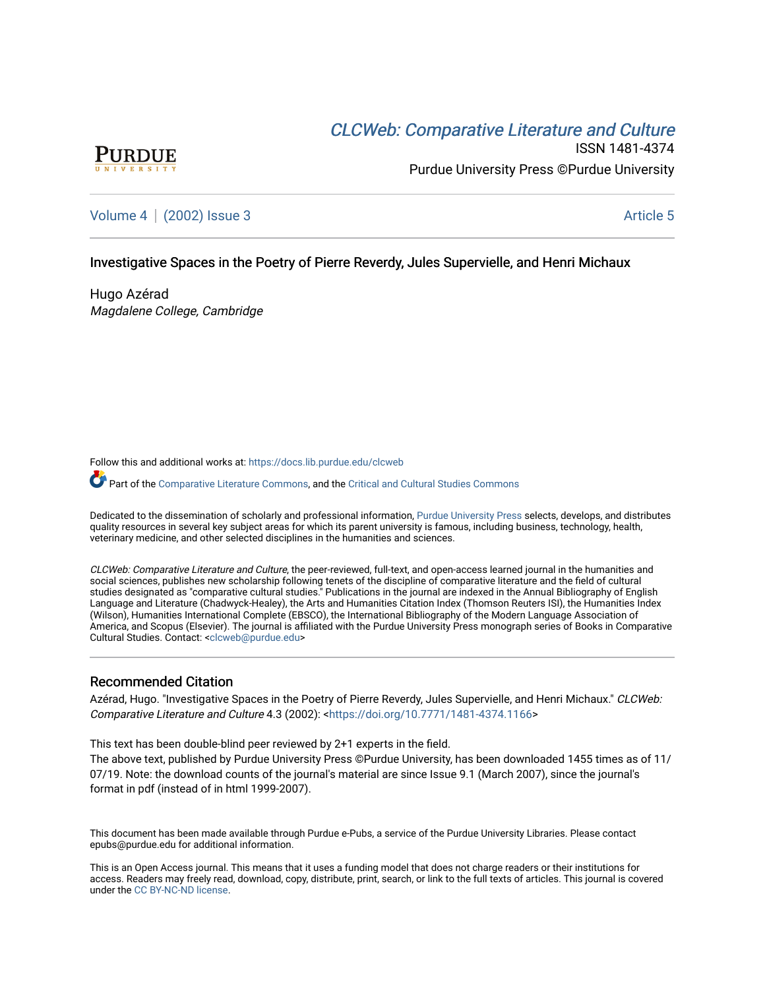# CLCW[eb: Comparative Liter](https://docs.lib.purdue.edu/clcweb)ature and Culture



ISSN 1481-4374 Purdue University Press ©Purdue University

## [Volume 4](https://docs.lib.purdue.edu/clcweb/vol4) | [\(2002\) Issue 3](https://docs.lib.purdue.edu/clcweb/vol4/iss3) Article 5

### Investigative Spaces in the Poetry of Pierre Reverdy, Jules Supervielle, and Henri Michaux

Hugo Azérad Magdalene College, Cambridge

Follow this and additional works at: [https://docs.lib.purdue.edu/clcweb](https://docs.lib.purdue.edu/clcweb?utm_source=docs.lib.purdue.edu%2Fclcweb%2Fvol4%2Fiss3%2F5&utm_medium=PDF&utm_campaign=PDFCoverPages)

Part of the [Comparative Literature Commons,](http://network.bepress.com/hgg/discipline/454?utm_source=docs.lib.purdue.edu%2Fclcweb%2Fvol4%2Fiss3%2F5&utm_medium=PDF&utm_campaign=PDFCoverPages) and the Critical and Cultural Studies Commons

Dedicated to the dissemination of scholarly and professional information, [Purdue University Press](http://www.thepress.purdue.edu/) selects, develops, and distributes quality resources in several key subject areas for which its parent university is famous, including business, technology, health, veterinary medicine, and other selected disciplines in the humanities and sciences.

CLCWeb: Comparative Literature and Culture, the peer-reviewed, full-text, and open-access learned journal in the humanities and social sciences, publishes new scholarship following tenets of the discipline of comparative literature and the field of cultural studies designated as "comparative cultural studies." Publications in the journal are indexed in the Annual Bibliography of English Language and Literature (Chadwyck-Healey), the Arts and Humanities Citation Index (Thomson Reuters ISI), the Humanities Index (Wilson), Humanities International Complete (EBSCO), the International Bibliography of the Modern Language Association of America, and Scopus (Elsevier). The journal is affiliated with the Purdue University Press monograph series of Books in Comparative Cultural Studies. Contact: [<clcweb@purdue.edu](mailto:clcweb@purdue.edu)>

### Recommended Citation

Azérad, Hugo. "Investigative Spaces in the Poetry of Pierre Reverdy, Jules Supervielle, and Henri Michaux." CLCWeb: Comparative Literature and Culture 4.3 (2002): <<https://doi.org/10.7771/1481-4374.1166>>

This text has been double-blind peer reviewed by 2+1 experts in the field.

The above text, published by Purdue University Press ©Purdue University, has been downloaded 1455 times as of 11/ 07/19. Note: the download counts of the journal's material are since Issue 9.1 (March 2007), since the journal's format in pdf (instead of in html 1999-2007).

This document has been made available through Purdue e-Pubs, a service of the Purdue University Libraries. Please contact epubs@purdue.edu for additional information.

This is an Open Access journal. This means that it uses a funding model that does not charge readers or their institutions for access. Readers may freely read, download, copy, distribute, print, search, or link to the full texts of articles. This journal is covered under the [CC BY-NC-ND license.](https://creativecommons.org/licenses/by-nc-nd/4.0/)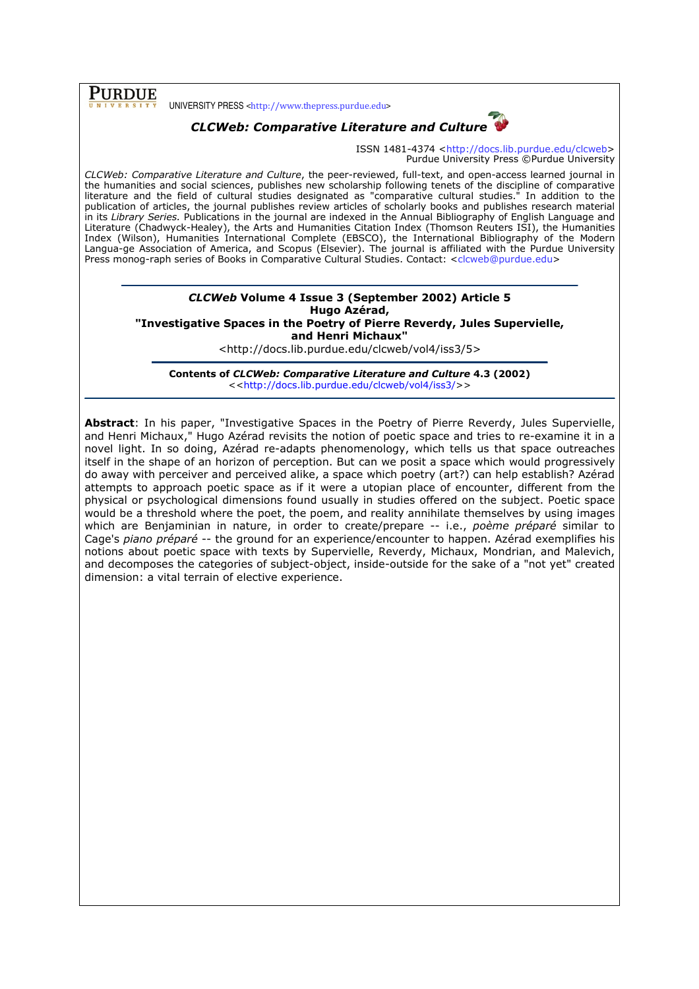## PURDUE

UNIVERSITY PRESS <http://www.thepress.purdue.edu>



ISSN 1481-4374 <http://docs.lib.purdue.edu/clcweb> Purdue University Press ©Purdue University

CLCWeb: Comparative Literature and Culture, the peer-reviewed, full-text, and open-access learned journal in the humanities and social sciences, publishes new scholarship following tenets of the discipline of comparative literature and the field of cultural studies designated as "comparative cultural studies." In addition to the publication of articles, the journal publishes review articles of scholarly books and publishes research material in its Library Series. Publications in the journal are indexed in the Annual Bibliography of English Language and Literature (Chadwyck-Healey), the Arts and Humanities Citation Index (Thomson Reuters ISI), the Humanities Index (Wilson), Humanities International Complete (EBSCO), the International Bibliography of the Modern Langua-ge Association of America, and Scopus (Elsevier). The journal is affiliated with the Purdue University Press monog-raph series of Books in Comparative Cultural Studies. Contact: <clcweb@purdue.edu>

#### CLCWeb Volume 4 Issue 3 (September 2002) Article 5 Hugo Azérad, "Investigative Spaces in the Poetry of Pierre Reverdy, Jules Supervielle, and Henri Michaux"

<http://docs.lib.purdue.edu/clcweb/vol4/iss3/5>

Contents of CLCWeb: Comparative Literature and Culture 4.3 (2002) <<http://docs.lib.purdue.edu/clcweb/vol4/iss3/>>

Abstract: In his paper, "Investigative Spaces in the Poetry of Pierre Reverdy, Jules Supervielle, and Henri Michaux," Hugo Azérad revisits the notion of poetic space and tries to re-examine it in a novel light. In so doing, Azérad re-adapts phenomenology, which tells us that space outreaches itself in the shape of an horizon of perception. But can we posit a space which would progressively do away with perceiver and perceived alike, a space which poetry (art?) can help establish? Azérad attempts to approach poetic space as if it were a utopian place of encounter, different from the physical or psychological dimensions found usually in studies offered on the subject. Poetic space would be a threshold where the poet, the poem, and reality annihilate themselves by using images which are Benjaminian in nature, in order to create/prepare -- i.e., poème préparé similar to Cage's piano préparé -- the ground for an experience/encounter to happen. Azérad exemplifies his notions about poetic space with texts by Supervielle, Reverdy, Michaux, Mondrian, and Malevich, and decomposes the categories of subject-object, inside-outside for the sake of a "not yet" created dimension: a vital terrain of elective experience.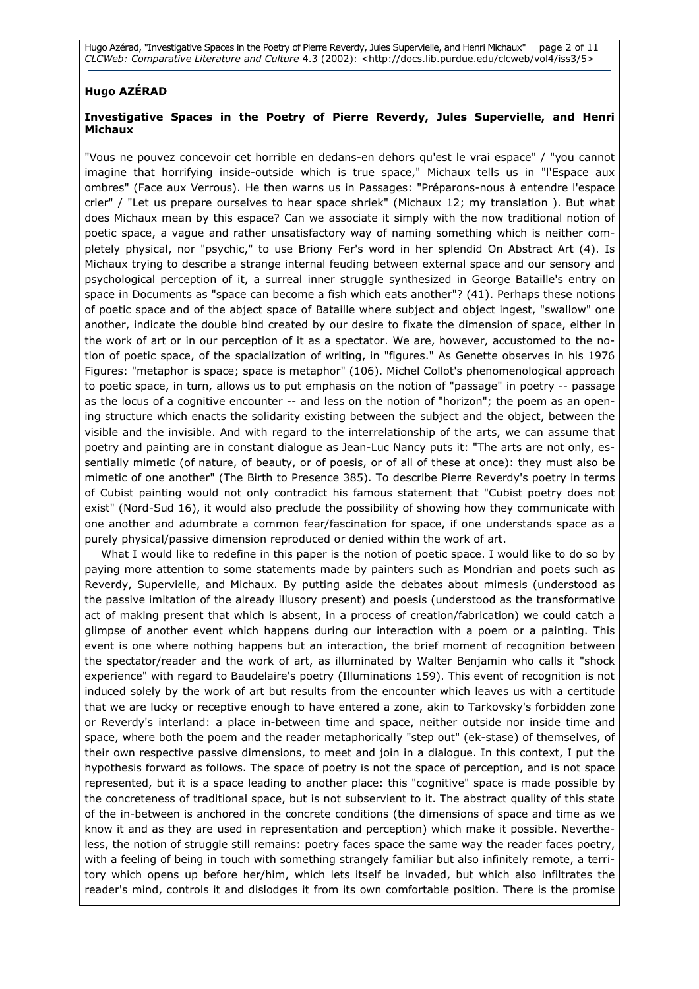Hugo Azérad, "Investigative Spaces in the Poetry of Pierre Reverdy, Jules Supervielle, and Henri Michaux" page 2 of 11 CLCWeb: Comparative Literature and Culture 4.3 (2002): <http://docs.lib.purdue.edu/clcweb/vol4/iss3/5>

### Hugo AZÉRAD

### Investigative Spaces in the Poetry of Pierre Reverdy, Jules Supervielle, and Henri Michaux

"Vous ne pouvez concevoir cet horrible en dedans-en dehors qu'est le vrai espace" / "you cannot imagine that horrifying inside-outside which is true space," Michaux tells us in "l'Espace aux ombres" (Face aux Verrous). He then warns us in Passages: "Préparons-nous à entendre l'espace crier" / "Let us prepare ourselves to hear space shriek" (Michaux 12; my translation ). But what does Michaux mean by this espace? Can we associate it simply with the now traditional notion of poetic space, a vague and rather unsatisfactory way of naming something which is neither completely physical, nor "psychic," to use Briony Fer's word in her splendid On Abstract Art (4). Is Michaux trying to describe a strange internal feuding between external space and our sensory and psychological perception of it, a surreal inner struggle synthesized in George Bataille's entry on space in Documents as "space can become a fish which eats another"? (41). Perhaps these notions of poetic space and of the abject space of Bataille where subject and object ingest, "swallow" one another, indicate the double bind created by our desire to fixate the dimension of space, either in the work of art or in our perception of it as a spectator. We are, however, accustomed to the notion of poetic space, of the spacialization of writing, in "figures." As Genette observes in his 1976 Figures: "metaphor is space; space is metaphor" (106). Michel Collot's phenomenological approach to poetic space, in turn, allows us to put emphasis on the notion of "passage" in poetry -- passage as the locus of a cognitive encounter -- and less on the notion of "horizon"; the poem as an opening structure which enacts the solidarity existing between the subject and the object, between the visible and the invisible. And with regard to the interrelationship of the arts, we can assume that poetry and painting are in constant dialogue as Jean-Luc Nancy puts it: "The arts are not only, essentially mimetic (of nature, of beauty, or of poesis, or of all of these at once): they must also be mimetic of one another" (The Birth to Presence 385). To describe Pierre Reverdy's poetry in terms of Cubist painting would not only contradict his famous statement that "Cubist poetry does not exist" (Nord-Sud 16), it would also preclude the possibility of showing how they communicate with one another and adumbrate a common fear/fascination for space, if one understands space as a purely physical/passive dimension reproduced or denied within the work of art.

What I would like to redefine in this paper is the notion of poetic space. I would like to do so by paying more attention to some statements made by painters such as Mondrian and poets such as Reverdy, Supervielle, and Michaux. By putting aside the debates about mimesis (understood as the passive imitation of the already illusory present) and poesis (understood as the transformative act of making present that which is absent, in a process of creation/fabrication) we could catch a glimpse of another event which happens during our interaction with a poem or a painting. This event is one where nothing happens but an interaction, the brief moment of recognition between the spectator/reader and the work of art, as illuminated by Walter Benjamin who calls it "shock experience" with regard to Baudelaire's poetry (Illuminations 159). This event of recognition is not induced solely by the work of art but results from the encounter which leaves us with a certitude that we are lucky or receptive enough to have entered a zone, akin to Tarkovsky's forbidden zone or Reverdy's interland: a place in-between time and space, neither outside nor inside time and space, where both the poem and the reader metaphorically "step out" (ek-stase) of themselves, of their own respective passive dimensions, to meet and join in a dialogue. In this context, I put the hypothesis forward as follows. The space of poetry is not the space of perception, and is not space represented, but it is a space leading to another place: this "cognitive" space is made possible by the concreteness of traditional space, but is not subservient to it. The abstract quality of this state of the in-between is anchored in the concrete conditions (the dimensions of space and time as we know it and as they are used in representation and perception) which make it possible. Nevertheless, the notion of struggle still remains: poetry faces space the same way the reader faces poetry, with a feeling of being in touch with something strangely familiar but also infinitely remote, a territory which opens up before her/him, which lets itself be invaded, but which also infiltrates the reader's mind, controls it and dislodges it from its own comfortable position. There is the promise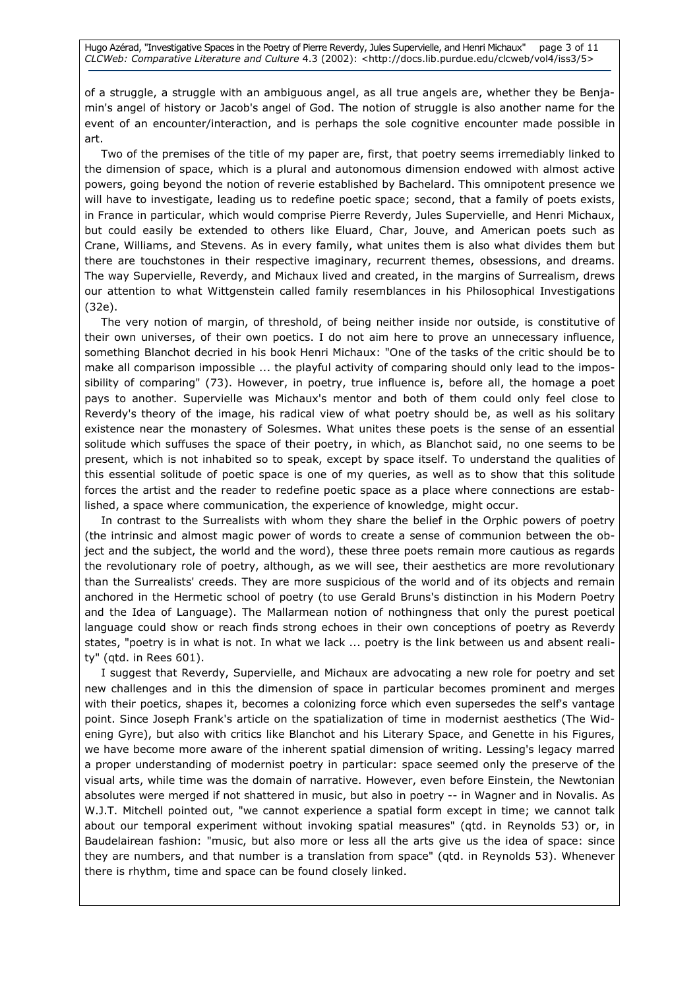Hugo Azérad, "Investigative Spaces in the Poetry of Pierre Reverdy, Jules Supervielle, and Henri Michaux" page 3 of 11 CLCWeb: Comparative Literature and Culture 4.3 (2002): <http://docs.lib.purdue.edu/clcweb/vol4/iss3/5>

of a struggle, a struggle with an ambiguous angel, as all true angels are, whether they be Benjamin's angel of history or Jacob's angel of God. The notion of struggle is also another name for the event of an encounter/interaction, and is perhaps the sole cognitive encounter made possible in art.

Two of the premises of the title of my paper are, first, that poetry seems irremediably linked to the dimension of space, which is a plural and autonomous dimension endowed with almost active powers, going beyond the notion of reverie established by Bachelard. This omnipotent presence we will have to investigate, leading us to redefine poetic space; second, that a family of poets exists, in France in particular, which would comprise Pierre Reverdy, Jules Supervielle, and Henri Michaux, but could easily be extended to others like Eluard, Char, Jouve, and American poets such as Crane, Williams, and Stevens. As in every family, what unites them is also what divides them but there are touchstones in their respective imaginary, recurrent themes, obsessions, and dreams. The way Supervielle, Reverdy, and Michaux lived and created, in the margins of Surrealism, drews our attention to what Wittgenstein called family resemblances in his Philosophical Investigations (32e).

The very notion of margin, of threshold, of being neither inside nor outside, is constitutive of their own universes, of their own poetics. I do not aim here to prove an unnecessary influence, something Blanchot decried in his book Henri Michaux: "One of the tasks of the critic should be to make all comparison impossible ... the playful activity of comparing should only lead to the impossibility of comparing" (73). However, in poetry, true influence is, before all, the homage a poet pays to another. Supervielle was Michaux's mentor and both of them could only feel close to Reverdy's theory of the image, his radical view of what poetry should be, as well as his solitary existence near the monastery of Solesmes. What unites these poets is the sense of an essential solitude which suffuses the space of their poetry, in which, as Blanchot said, no one seems to be present, which is not inhabited so to speak, except by space itself. To understand the qualities of this essential solitude of poetic space is one of my queries, as well as to show that this solitude forces the artist and the reader to redefine poetic space as a place where connections are established, a space where communication, the experience of knowledge, might occur.

In contrast to the Surrealists with whom they share the belief in the Orphic powers of poetry (the intrinsic and almost magic power of words to create a sense of communion between the object and the subject, the world and the word), these three poets remain more cautious as regards the revolutionary role of poetry, although, as we will see, their aesthetics are more revolutionary than the Surrealists' creeds. They are more suspicious of the world and of its objects and remain anchored in the Hermetic school of poetry (to use Gerald Bruns's distinction in his Modern Poetry and the Idea of Language). The Mallarmean notion of nothingness that only the purest poetical language could show or reach finds strong echoes in their own conceptions of poetry as Reverdy states, "poetry is in what is not. In what we lack ... poetry is the link between us and absent reality" (qtd. in Rees 601).

I suggest that Reverdy, Supervielle, and Michaux are advocating a new role for poetry and set new challenges and in this the dimension of space in particular becomes prominent and merges with their poetics, shapes it, becomes a colonizing force which even supersedes the self's vantage point. Since Joseph Frank's article on the spatialization of time in modernist aesthetics (The Widening Gyre), but also with critics like Blanchot and his Literary Space, and Genette in his Figures, we have become more aware of the inherent spatial dimension of writing. Lessing's legacy marred a proper understanding of modernist poetry in particular: space seemed only the preserve of the visual arts, while time was the domain of narrative. However, even before Einstein, the Newtonian absolutes were merged if not shattered in music, but also in poetry -- in Wagner and in Novalis. As W.J.T. Mitchell pointed out, "we cannot experience a spatial form except in time; we cannot talk about our temporal experiment without invoking spatial measures" (qtd. in Reynolds 53) or, in Baudelairean fashion: "music, but also more or less all the arts give us the idea of space: since they are numbers, and that number is a translation from space" (qtd. in Reynolds 53). Whenever there is rhythm, time and space can be found closely linked.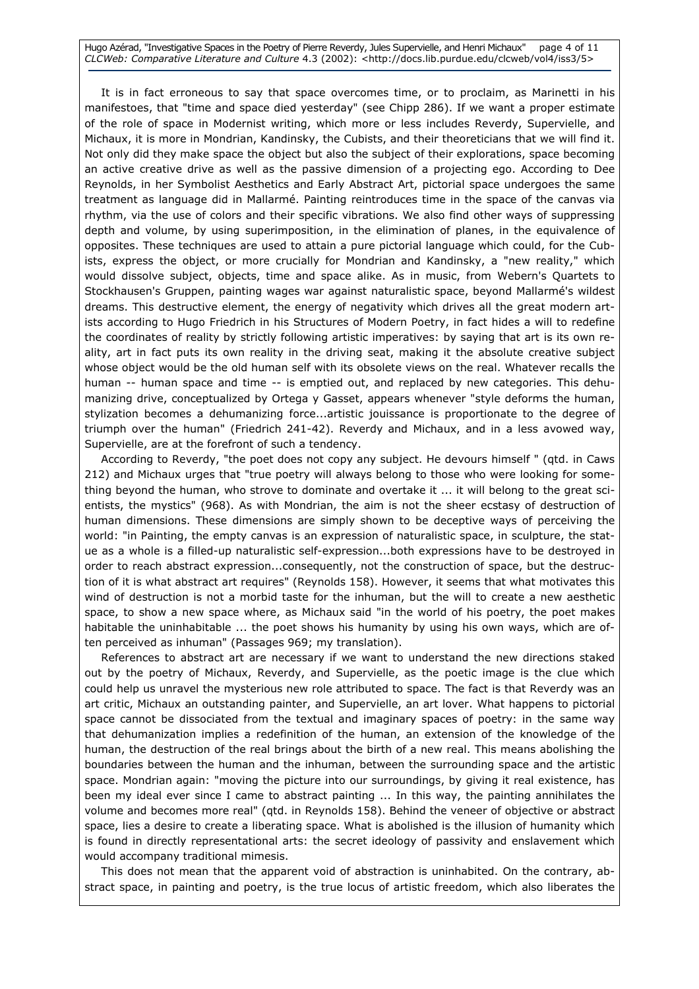Hugo Azérad, "Investigative Spaces in the Poetry of Pierre Reverdy, Jules Supervielle, and Henri Michaux" page 4 of 11 CLCWeb: Comparative Literature and Culture 4.3 (2002): <http://docs.lib.purdue.edu/clcweb/vol4/iss3/5>

It is in fact erroneous to say that space overcomes time, or to proclaim, as Marinetti in his manifestoes, that "time and space died yesterday" (see Chipp 286). If we want a proper estimate of the role of space in Modernist writing, which more or less includes Reverdy, Supervielle, and Michaux, it is more in Mondrian, Kandinsky, the Cubists, and their theoreticians that we will find it. Not only did they make space the object but also the subject of their explorations, space becoming an active creative drive as well as the passive dimension of a projecting ego. According to Dee Reynolds, in her Symbolist Aesthetics and Early Abstract Art, pictorial space undergoes the same treatment as language did in Mallarmé. Painting reintroduces time in the space of the canvas via rhythm, via the use of colors and their specific vibrations. We also find other ways of suppressing depth and volume, by using superimposition, in the elimination of planes, in the equivalence of opposites. These techniques are used to attain a pure pictorial language which could, for the Cubists, express the object, or more crucially for Mondrian and Kandinsky, a "new reality," which would dissolve subject, objects, time and space alike. As in music, from Webern's Quartets to Stockhausen's Gruppen, painting wages war against naturalistic space, beyond Mallarmé's wildest dreams. This destructive element, the energy of negativity which drives all the great modern artists according to Hugo Friedrich in his Structures of Modern Poetry, in fact hides a will to redefine the coordinates of reality by strictly following artistic imperatives: by saying that art is its own reality, art in fact puts its own reality in the driving seat, making it the absolute creative subject whose object would be the old human self with its obsolete views on the real. Whatever recalls the human -- human space and time -- is emptied out, and replaced by new categories. This dehumanizing drive, conceptualized by Ortega y Gasset, appears whenever "style deforms the human, stylization becomes a dehumanizing force...artistic jouissance is proportionate to the degree of triumph over the human" (Friedrich 241-42). Reverdy and Michaux, and in a less avowed way, Supervielle, are at the forefront of such a tendency.

According to Reverdy, "the poet does not copy any subject. He devours himself " (qtd. in Caws 212) and Michaux urges that "true poetry will always belong to those who were looking for something beyond the human, who strove to dominate and overtake it ... it will belong to the great scientists, the mystics" (968). As with Mondrian, the aim is not the sheer ecstasy of destruction of human dimensions. These dimensions are simply shown to be deceptive ways of perceiving the world: "in Painting, the empty canvas is an expression of naturalistic space, in sculpture, the statue as a whole is a filled-up naturalistic self-expression...both expressions have to be destroyed in order to reach abstract expression...consequently, not the construction of space, but the destruction of it is what abstract art requires" (Reynolds 158). However, it seems that what motivates this wind of destruction is not a morbid taste for the inhuman, but the will to create a new aesthetic space, to show a new space where, as Michaux said "in the world of his poetry, the poet makes habitable the uninhabitable ... the poet shows his humanity by using his own ways, which are often perceived as inhuman" (Passages 969; my translation).

References to abstract art are necessary if we want to understand the new directions staked out by the poetry of Michaux, Reverdy, and Supervielle, as the poetic image is the clue which could help us unravel the mysterious new role attributed to space. The fact is that Reverdy was an art critic, Michaux an outstanding painter, and Supervielle, an art lover. What happens to pictorial space cannot be dissociated from the textual and imaginary spaces of poetry: in the same way that dehumanization implies a redefinition of the human, an extension of the knowledge of the human, the destruction of the real brings about the birth of a new real. This means abolishing the boundaries between the human and the inhuman, between the surrounding space and the artistic space. Mondrian again: "moving the picture into our surroundings, by giving it real existence, has been my ideal ever since I came to abstract painting ... In this way, the painting annihilates the volume and becomes more real" (qtd. in Reynolds 158). Behind the veneer of objective or abstract space, lies a desire to create a liberating space. What is abolished is the illusion of humanity which is found in directly representational arts: the secret ideology of passivity and enslavement which would accompany traditional mimesis.

This does not mean that the apparent void of abstraction is uninhabited. On the contrary, abstract space, in painting and poetry, is the true locus of artistic freedom, which also liberates the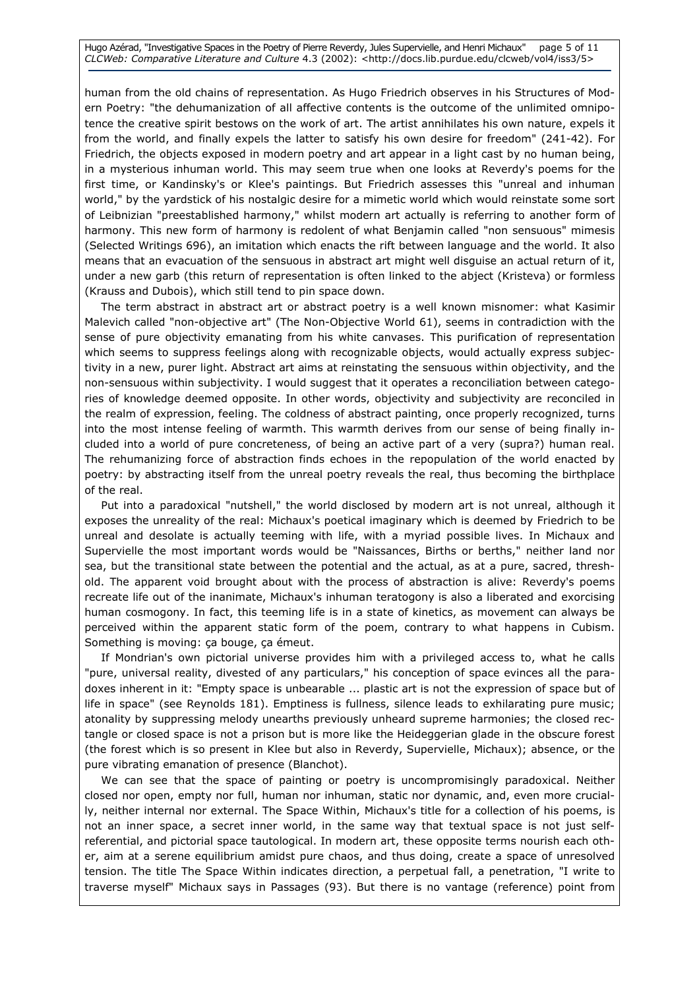Hugo Azérad, "Investigative Spaces in the Poetry of Pierre Reverdy, Jules Supervielle, and Henri Michaux" page 5 of 11 CLCWeb: Comparative Literature and Culture 4.3 (2002): <http://docs.lib.purdue.edu/clcweb/vol4/iss3/5>

human from the old chains of representation. As Hugo Friedrich observes in his Structures of Modern Poetry: "the dehumanization of all affective contents is the outcome of the unlimited omnipotence the creative spirit bestows on the work of art. The artist annihilates his own nature, expels it from the world, and finally expels the latter to satisfy his own desire for freedom" (241-42). For Friedrich, the objects exposed in modern poetry and art appear in a light cast by no human being, in a mysterious inhuman world. This may seem true when one looks at Reverdy's poems for the first time, or Kandinsky's or Klee's paintings. But Friedrich assesses this "unreal and inhuman world," by the yardstick of his nostalgic desire for a mimetic world which would reinstate some sort of Leibnizian "preestablished harmony," whilst modern art actually is referring to another form of harmony. This new form of harmony is redolent of what Benjamin called "non sensuous" mimesis (Selected Writings 696), an imitation which enacts the rift between language and the world. It also means that an evacuation of the sensuous in abstract art might well disguise an actual return of it, under a new garb (this return of representation is often linked to the abject (Kristeva) or formless (Krauss and Dubois), which still tend to pin space down.

The term abstract in abstract art or abstract poetry is a well known misnomer: what Kasimir Malevich called "non-objective art" (The Non-Objective World 61), seems in contradiction with the sense of pure objectivity emanating from his white canvases. This purification of representation which seems to suppress feelings along with recognizable objects, would actually express subjectivity in a new, purer light. Abstract art aims at reinstating the sensuous within objectivity, and the non-sensuous within subjectivity. I would suggest that it operates a reconciliation between categories of knowledge deemed opposite. In other words, objectivity and subjectivity are reconciled in the realm of expression, feeling. The coldness of abstract painting, once properly recognized, turns into the most intense feeling of warmth. This warmth derives from our sense of being finally included into a world of pure concreteness, of being an active part of a very (supra?) human real. The rehumanizing force of abstraction finds echoes in the repopulation of the world enacted by poetry: by abstracting itself from the unreal poetry reveals the real, thus becoming the birthplace of the real.

Put into a paradoxical "nutshell," the world disclosed by modern art is not unreal, although it exposes the unreality of the real: Michaux's poetical imaginary which is deemed by Friedrich to be unreal and desolate is actually teeming with life, with a myriad possible lives. In Michaux and Supervielle the most important words would be "Naissances, Births or berths," neither land nor sea, but the transitional state between the potential and the actual, as at a pure, sacred, threshold. The apparent void brought about with the process of abstraction is alive: Reverdy's poems recreate life out of the inanimate, Michaux's inhuman teratogony is also a liberated and exorcising human cosmogony. In fact, this teeming life is in a state of kinetics, as movement can always be perceived within the apparent static form of the poem, contrary to what happens in Cubism. Something is moving: ça bouge, ça émeut.

If Mondrian's own pictorial universe provides him with a privileged access to, what he calls "pure, universal reality, divested of any particulars," his conception of space evinces all the paradoxes inherent in it: "Empty space is unbearable ... plastic art is not the expression of space but of life in space" (see Reynolds 181). Emptiness is fullness, silence leads to exhilarating pure music; atonality by suppressing melody unearths previously unheard supreme harmonies; the closed rectangle or closed space is not a prison but is more like the Heideggerian glade in the obscure forest (the forest which is so present in Klee but also in Reverdy, Supervielle, Michaux); absence, or the pure vibrating emanation of presence (Blanchot).

We can see that the space of painting or poetry is uncompromisingly paradoxical. Neither closed nor open, empty nor full, human nor inhuman, static nor dynamic, and, even more crucially, neither internal nor external. The Space Within, Michaux's title for a collection of his poems, is not an inner space, a secret inner world, in the same way that textual space is not just selfreferential, and pictorial space tautological. In modern art, these opposite terms nourish each other, aim at a serene equilibrium amidst pure chaos, and thus doing, create a space of unresolved tension. The title The Space Within indicates direction, a perpetual fall, a penetration, "I write to traverse myself" Michaux says in Passages (93). But there is no vantage (reference) point from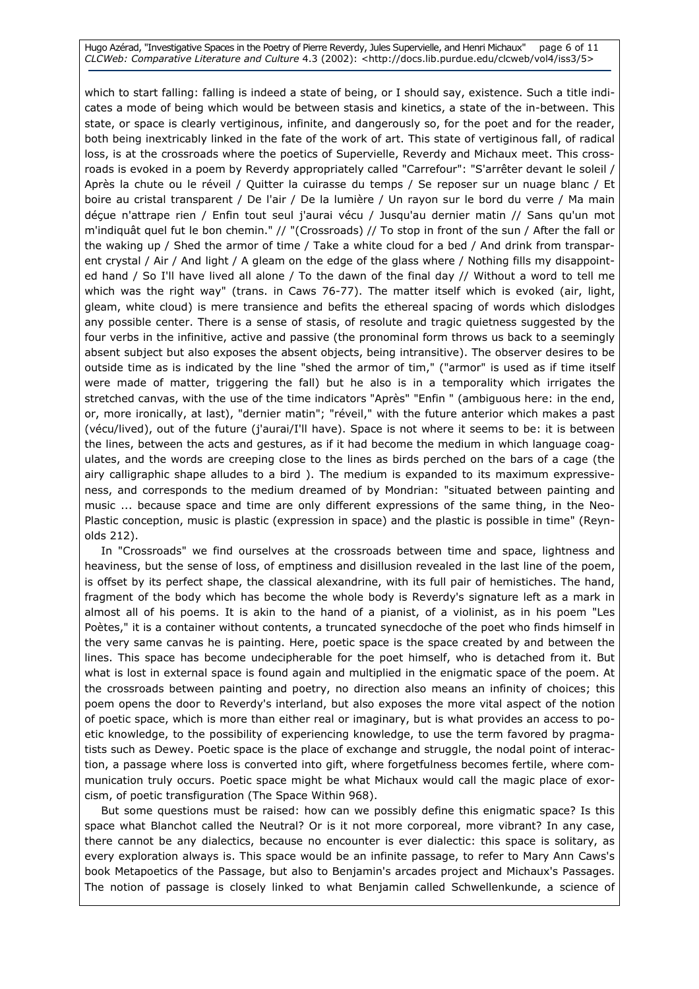Hugo Azérad, "Investigative Spaces in the Poetry of Pierre Reverdy, Jules Supervielle, and Henri Michaux" page 6 of 11 CLCWeb: Comparative Literature and Culture 4.3 (2002): <http://docs.lib.purdue.edu/clcweb/vol4/iss3/5>

which to start falling: falling is indeed a state of being, or I should say, existence. Such a title indicates a mode of being which would be between stasis and kinetics, a state of the in-between. This state, or space is clearly vertiginous, infinite, and dangerously so, for the poet and for the reader, both being inextricably linked in the fate of the work of art. This state of vertiginous fall, of radical loss, is at the crossroads where the poetics of Supervielle, Reverdy and Michaux meet. This crossroads is evoked in a poem by Reverdy appropriately called "Carrefour": "S'arrêter devant le soleil / Après la chute ou le réveil / Quitter la cuirasse du temps / Se reposer sur un nuage blanc / Et boire au cristal transparent / De l'air / De la lumière / Un rayon sur le bord du verre / Ma main déçue n'attrape rien / Enfin tout seul j'aurai vécu / Jusqu'au dernier matin // Sans qu'un mot m'indiquât quel fut le bon chemin." // "(Crossroads) // To stop in front of the sun / After the fall or the waking up / Shed the armor of time / Take a white cloud for a bed / And drink from transparent crystal / Air / And light / A gleam on the edge of the glass where / Nothing fills my disappointed hand / So I'll have lived all alone / To the dawn of the final day // Without a word to tell me which was the right way" (trans. in Caws 76-77). The matter itself which is evoked (air, light, gleam, white cloud) is mere transience and befits the ethereal spacing of words which dislodges any possible center. There is a sense of stasis, of resolute and tragic quietness suggested by the four verbs in the infinitive, active and passive (the pronominal form throws us back to a seemingly absent subject but also exposes the absent objects, being intransitive). The observer desires to be outside time as is indicated by the line "shed the armor of tim," ("armor" is used as if time itself were made of matter, triggering the fall) but he also is in a temporality which irrigates the stretched canvas, with the use of the time indicators "Après" "Enfin " (ambiguous here: in the end, or, more ironically, at last), "dernier matin"; "réveil," with the future anterior which makes a past (vécu/lived), out of the future (j'aurai/I'll have). Space is not where it seems to be: it is between the lines, between the acts and gestures, as if it had become the medium in which language coagulates, and the words are creeping close to the lines as birds perched on the bars of a cage (the airy calligraphic shape alludes to a bird ). The medium is expanded to its maximum expressiveness, and corresponds to the medium dreamed of by Mondrian: "situated between painting and music ... because space and time are only different expressions of the same thing, in the Neo-Plastic conception, music is plastic (expression in space) and the plastic is possible in time" (Reynolds 212).

In "Crossroads" we find ourselves at the crossroads between time and space, lightness and heaviness, but the sense of loss, of emptiness and disillusion revealed in the last line of the poem, is offset by its perfect shape, the classical alexandrine, with its full pair of hemistiches. The hand, fragment of the body which has become the whole body is Reverdy's signature left as a mark in almost all of his poems. It is akin to the hand of a pianist, of a violinist, as in his poem "Les Poètes," it is a container without contents, a truncated synecdoche of the poet who finds himself in the very same canvas he is painting. Here, poetic space is the space created by and between the lines. This space has become undecipherable for the poet himself, who is detached from it. But what is lost in external space is found again and multiplied in the enigmatic space of the poem. At the crossroads between painting and poetry, no direction also means an infinity of choices; this poem opens the door to Reverdy's interland, but also exposes the more vital aspect of the notion of poetic space, which is more than either real or imaginary, but is what provides an access to poetic knowledge, to the possibility of experiencing knowledge, to use the term favored by pragmatists such as Dewey. Poetic space is the place of exchange and struggle, the nodal point of interaction, a passage where loss is converted into gift, where forgetfulness becomes fertile, where communication truly occurs. Poetic space might be what Michaux would call the magic place of exorcism, of poetic transfiguration (The Space Within 968).

But some questions must be raised: how can we possibly define this enigmatic space? Is this space what Blanchot called the Neutral? Or is it not more corporeal, more vibrant? In any case, there cannot be any dialectics, because no encounter is ever dialectic: this space is solitary, as every exploration always is. This space would be an infinite passage, to refer to Mary Ann Caws's book Metapoetics of the Passage, but also to Benjamin's arcades project and Michaux's Passages. The notion of passage is closely linked to what Benjamin called Schwellenkunde, a science of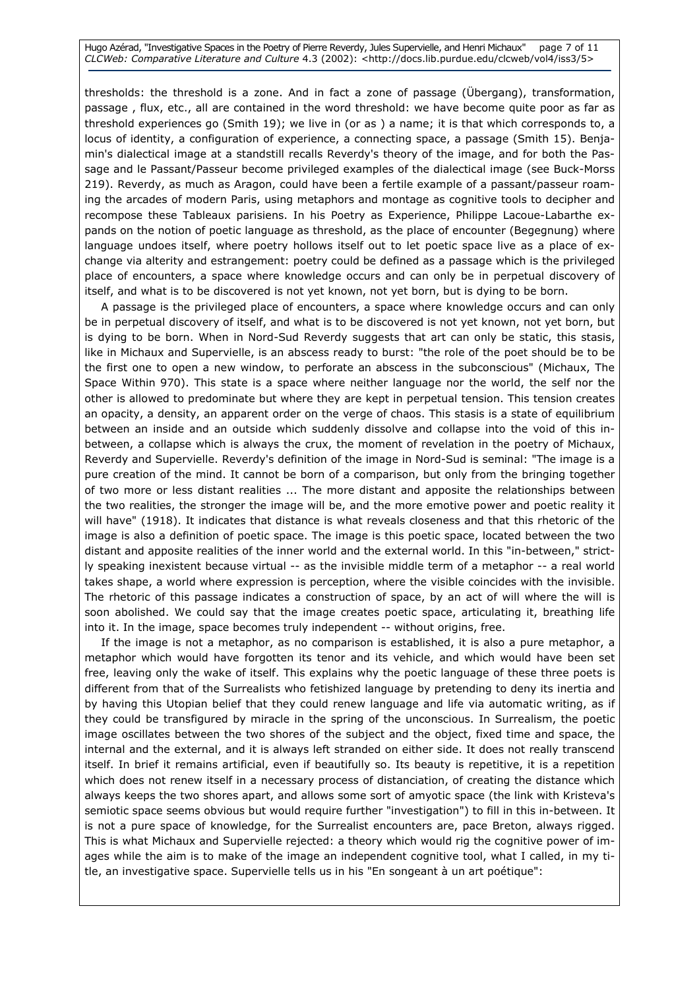Hugo Azérad, "Investigative Spaces in the Poetry of Pierre Reverdy, Jules Supervielle, and Henri Michaux" page 7 of 11 CLCWeb: Comparative Literature and Culture 4.3 (2002): <http://docs.lib.purdue.edu/clcweb/vol4/iss3/5>

thresholds: the threshold is a zone. And in fact a zone of passage (Übergang), transformation, passage , flux, etc., all are contained in the word threshold: we have become quite poor as far as threshold experiences go (Smith 19); we live in (or as ) a name; it is that which corresponds to, a locus of identity, a configuration of experience, a connecting space, a passage (Smith 15). Benjamin's dialectical image at a standstill recalls Reverdy's theory of the image, and for both the Passage and le Passant/Passeur become privileged examples of the dialectical image (see Buck-Morss 219). Reverdy, as much as Aragon, could have been a fertile example of a passant/passeur roaming the arcades of modern Paris, using metaphors and montage as cognitive tools to decipher and recompose these Tableaux parisiens. In his Poetry as Experience, Philippe Lacoue-Labarthe expands on the notion of poetic language as threshold, as the place of encounter (Begegnung) where language undoes itself, where poetry hollows itself out to let poetic space live as a place of exchange via alterity and estrangement: poetry could be defined as a passage which is the privileged place of encounters, a space where knowledge occurs and can only be in perpetual discovery of itself, and what is to be discovered is not yet known, not yet born, but is dying to be born.

A passage is the privileged place of encounters, a space where knowledge occurs and can only be in perpetual discovery of itself, and what is to be discovered is not yet known, not yet born, but is dying to be born. When in Nord-Sud Reverdy suggests that art can only be static, this stasis, like in Michaux and Supervielle, is an abscess ready to burst: "the role of the poet should be to be the first one to open a new window, to perforate an abscess in the subconscious" (Michaux, The Space Within 970). This state is a space where neither language nor the world, the self nor the other is allowed to predominate but where they are kept in perpetual tension. This tension creates an opacity, a density, an apparent order on the verge of chaos. This stasis is a state of equilibrium between an inside and an outside which suddenly dissolve and collapse into the void of this inbetween, a collapse which is always the crux, the moment of revelation in the poetry of Michaux, Reverdy and Supervielle. Reverdy's definition of the image in Nord-Sud is seminal: "The image is a pure creation of the mind. It cannot be born of a comparison, but only from the bringing together of two more or less distant realities ... The more distant and apposite the relationships between the two realities, the stronger the image will be, and the more emotive power and poetic reality it will have" (1918). It indicates that distance is what reveals closeness and that this rhetoric of the image is also a definition of poetic space. The image is this poetic space, located between the two distant and apposite realities of the inner world and the external world. In this "in-between," strictly speaking inexistent because virtual -- as the invisible middle term of a metaphor -- a real world takes shape, a world where expression is perception, where the visible coincides with the invisible. The rhetoric of this passage indicates a construction of space, by an act of will where the will is soon abolished. We could say that the image creates poetic space, articulating it, breathing life into it. In the image, space becomes truly independent -- without origins, free.

If the image is not a metaphor, as no comparison is established, it is also a pure metaphor, a metaphor which would have forgotten its tenor and its vehicle, and which would have been set free, leaving only the wake of itself. This explains why the poetic language of these three poets is different from that of the Surrealists who fetishized language by pretending to deny its inertia and by having this Utopian belief that they could renew language and life via automatic writing, as if they could be transfigured by miracle in the spring of the unconscious. In Surrealism, the poetic image oscillates between the two shores of the subject and the object, fixed time and space, the internal and the external, and it is always left stranded on either side. It does not really transcend itself. In brief it remains artificial, even if beautifully so. Its beauty is repetitive, it is a repetition which does not renew itself in a necessary process of distanciation, of creating the distance which always keeps the two shores apart, and allows some sort of amyotic space (the link with Kristeva's semiotic space seems obvious but would require further "investigation") to fill in this in-between. It is not a pure space of knowledge, for the Surrealist encounters are, pace Breton, always rigged. This is what Michaux and Supervielle rejected: a theory which would rig the cognitive power of images while the aim is to make of the image an independent cognitive tool, what I called, in my title, an investigative space. Supervielle tells us in his "En songeant à un art poétique":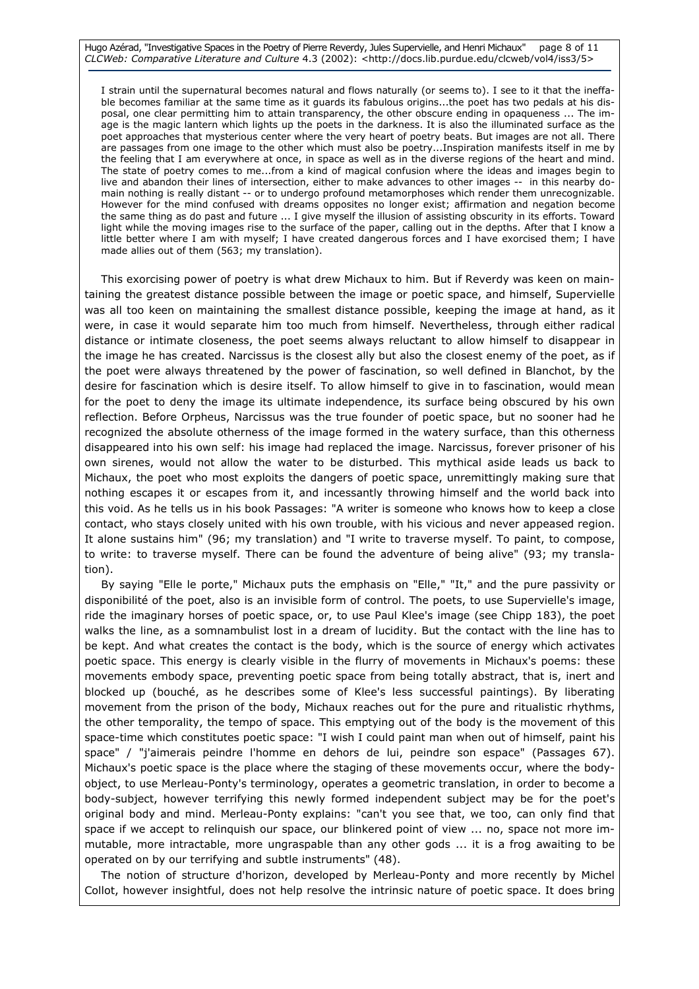Hugo Azérad, "Investigative Spaces in the Poetry of Pierre Reverdy, Jules Supervielle, and Henri Michaux" page 8 of 11 CLCWeb: Comparative Literature and Culture 4.3 (2002): <http://docs.lib.purdue.edu/clcweb/vol4/iss3/5>

I strain until the supernatural becomes natural and flows naturally (or seems to). I see to it that the ineffable becomes familiar at the same time as it guards its fabulous origins...the poet has two pedals at his disposal, one clear permitting him to attain transparency, the other obscure ending in opaqueness ... The image is the magic lantern which lights up the poets in the darkness. It is also the illuminated surface as the poet approaches that mysterious center where the very heart of poetry beats. But images are not all. There are passages from one image to the other which must also be poetry...Inspiration manifests itself in me by the feeling that I am everywhere at once, in space as well as in the diverse regions of the heart and mind. The state of poetry comes to me...from a kind of magical confusion where the ideas and images begin to live and abandon their lines of intersection, either to make advances to other images -- in this nearby domain nothing is really distant -- or to undergo profound metamorphoses which render them unrecognizable. However for the mind confused with dreams opposites no longer exist; affirmation and negation become the same thing as do past and future ... I give myself the illusion of assisting obscurity in its efforts. Toward light while the moving images rise to the surface of the paper, calling out in the depths. After that I know a little better where I am with myself; I have created dangerous forces and I have exorcised them; I have made allies out of them (563; my translation).

This exorcising power of poetry is what drew Michaux to him. But if Reverdy was keen on maintaining the greatest distance possible between the image or poetic space, and himself, Supervielle was all too keen on maintaining the smallest distance possible, keeping the image at hand, as it were, in case it would separate him too much from himself. Nevertheless, through either radical distance or intimate closeness, the poet seems always reluctant to allow himself to disappear in the image he has created. Narcissus is the closest ally but also the closest enemy of the poet, as if the poet were always threatened by the power of fascination, so well defined in Blanchot, by the desire for fascination which is desire itself. To allow himself to give in to fascination, would mean for the poet to deny the image its ultimate independence, its surface being obscured by his own reflection. Before Orpheus, Narcissus was the true founder of poetic space, but no sooner had he recognized the absolute otherness of the image formed in the watery surface, than this otherness disappeared into his own self: his image had replaced the image. Narcissus, forever prisoner of his own sirenes, would not allow the water to be disturbed. This mythical aside leads us back to Michaux, the poet who most exploits the dangers of poetic space, unremittingly making sure that nothing escapes it or escapes from it, and incessantly throwing himself and the world back into this void. As he tells us in his book Passages: "A writer is someone who knows how to keep a close contact, who stays closely united with his own trouble, with his vicious and never appeased region. It alone sustains him" (96; my translation) and "I write to traverse myself. To paint, to compose, to write: to traverse myself. There can be found the adventure of being alive" (93; my translation).

By saying "Elle le porte," Michaux puts the emphasis on "Elle," "It," and the pure passivity or disponibilité of the poet, also is an invisible form of control. The poets, to use Supervielle's image, ride the imaginary horses of poetic space, or, to use Paul Klee's image (see Chipp 183), the poet walks the line, as a somnambulist lost in a dream of lucidity. But the contact with the line has to be kept. And what creates the contact is the body, which is the source of energy which activates poetic space. This energy is clearly visible in the flurry of movements in Michaux's poems: these movements embody space, preventing poetic space from being totally abstract, that is, inert and blocked up (bouché, as he describes some of Klee's less successful paintings). By liberating movement from the prison of the body, Michaux reaches out for the pure and ritualistic rhythms, the other temporality, the tempo of space. This emptying out of the body is the movement of this space-time which constitutes poetic space: "I wish I could paint man when out of himself, paint his space" / "j'aimerais peindre l'homme en dehors de lui, peindre son espace" (Passages 67). Michaux's poetic space is the place where the staging of these movements occur, where the bodyobject, to use Merleau-Ponty's terminology, operates a geometric translation, in order to become a body-subject, however terrifying this newly formed independent subject may be for the poet's original body and mind. Merleau-Ponty explains: "can't you see that, we too, can only find that space if we accept to relinquish our space, our blinkered point of view ... no, space not more immutable, more intractable, more ungraspable than any other gods ... it is a frog awaiting to be operated on by our terrifying and subtle instruments" (48).

The notion of structure d'horizon, developed by Merleau-Ponty and more recently by Michel Collot, however insightful, does not help resolve the intrinsic nature of poetic space. It does bring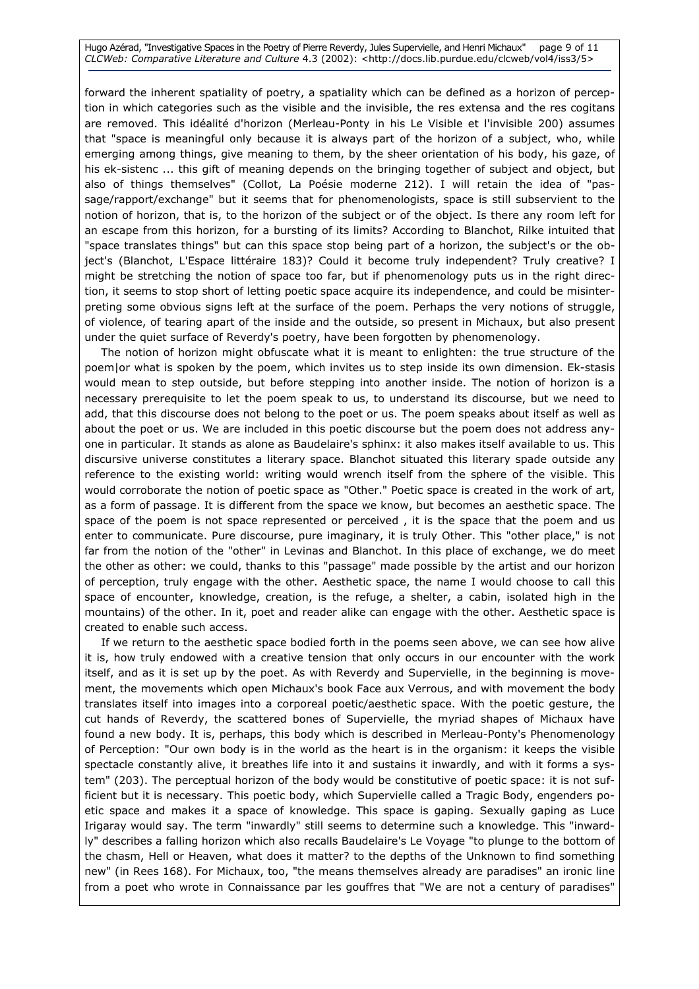Hugo Azérad, "Investigative Spaces in the Poetry of Pierre Reverdy, Jules Supervielle, and Henri Michaux" page 9 of 11 CLCWeb: Comparative Literature and Culture 4.3 (2002): <http://docs.lib.purdue.edu/clcweb/vol4/iss3/5>

forward the inherent spatiality of poetry, a spatiality which can be defined as a horizon of perception in which categories such as the visible and the invisible, the res extensa and the res cogitans are removed. This idéalité d'horizon (Merleau-Ponty in his Le Visible et l'invisible 200) assumes that "space is meaningful only because it is always part of the horizon of a subject, who, while emerging among things, give meaning to them, by the sheer orientation of his body, his gaze, of his ek-sistenc ... this gift of meaning depends on the bringing together of subject and object, but also of things themselves" (Collot, La Poésie moderne 212). I will retain the idea of "passage/rapport/exchange" but it seems that for phenomenologists, space is still subservient to the notion of horizon, that is, to the horizon of the subject or of the object. Is there any room left for an escape from this horizon, for a bursting of its limits? According to Blanchot, Rilke intuited that "space translates things" but can this space stop being part of a horizon, the subject's or the object's (Blanchot, L'Espace littéraire 183)? Could it become truly independent? Truly creative? I might be stretching the notion of space too far, but if phenomenology puts us in the right direction, it seems to stop short of letting poetic space acquire its independence, and could be misinterpreting some obvious signs left at the surface of the poem. Perhaps the very notions of struggle, of violence, of tearing apart of the inside and the outside, so present in Michaux, but also present under the quiet surface of Reverdy's poetry, have been forgotten by phenomenology.

The notion of horizon might obfuscate what it is meant to enlighten: the true structure of the poem|or what is spoken by the poem, which invites us to step inside its own dimension. Ek-stasis would mean to step outside, but before stepping into another inside. The notion of horizon is a necessary prerequisite to let the poem speak to us, to understand its discourse, but we need to add, that this discourse does not belong to the poet or us. The poem speaks about itself as well as about the poet or us. We are included in this poetic discourse but the poem does not address anyone in particular. It stands as alone as Baudelaire's sphinx: it also makes itself available to us. This discursive universe constitutes a literary space. Blanchot situated this literary spade outside any reference to the existing world: writing would wrench itself from the sphere of the visible. This would corroborate the notion of poetic space as "Other." Poetic space is created in the work of art, as a form of passage. It is different from the space we know, but becomes an aesthetic space. The space of the poem is not space represented or perceived , it is the space that the poem and us enter to communicate. Pure discourse, pure imaginary, it is truly Other. This "other place," is not far from the notion of the "other" in Levinas and Blanchot. In this place of exchange, we do meet the other as other: we could, thanks to this "passage" made possible by the artist and our horizon of perception, truly engage with the other. Aesthetic space, the name I would choose to call this space of encounter, knowledge, creation, is the refuge, a shelter, a cabin, isolated high in the mountains) of the other. In it, poet and reader alike can engage with the other. Aesthetic space is created to enable such access.

If we return to the aesthetic space bodied forth in the poems seen above, we can see how alive it is, how truly endowed with a creative tension that only occurs in our encounter with the work itself, and as it is set up by the poet. As with Reverdy and Supervielle, in the beginning is movement, the movements which open Michaux's book Face aux Verrous, and with movement the body translates itself into images into a corporeal poetic/aesthetic space. With the poetic gesture, the cut hands of Reverdy, the scattered bones of Supervielle, the myriad shapes of Michaux have found a new body. It is, perhaps, this body which is described in Merleau-Ponty's Phenomenology of Perception: "Our own body is in the world as the heart is in the organism: it keeps the visible spectacle constantly alive, it breathes life into it and sustains it inwardly, and with it forms a system" (203). The perceptual horizon of the body would be constitutive of poetic space: it is not sufficient but it is necessary. This poetic body, which Supervielle called a Tragic Body, engenders poetic space and makes it a space of knowledge. This space is gaping. Sexually gaping as Luce Irigaray would say. The term "inwardly" still seems to determine such a knowledge. This "inwardly" describes a falling horizon which also recalls Baudelaire's Le Voyage "to plunge to the bottom of the chasm, Hell or Heaven, what does it matter? to the depths of the Unknown to find something new" (in Rees 168). For Michaux, too, "the means themselves already are paradises" an ironic line from a poet who wrote in Connaissance par les gouffres that "We are not a century of paradises"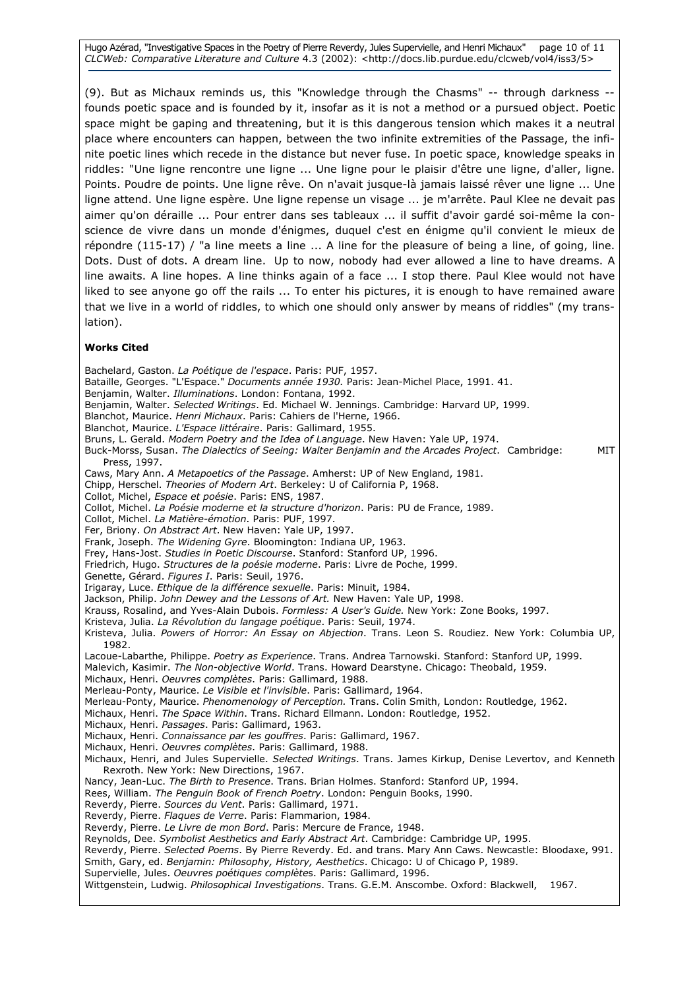Hugo Azérad, "Investigative Spaces in the Poetry of Pierre Reverdy, Jules Supervielle, and Henri Michaux" page 10 of 11 CLCWeb: Comparative Literature and Culture 4.3 (2002): <http://docs.lib.purdue.edu/clcweb/vol4/iss3/5>

(9). But as Michaux reminds us, this "Knowledge through the Chasms" -- through darkness - founds poetic space and is founded by it, insofar as it is not a method or a pursued object. Poetic space might be gaping and threatening, but it is this dangerous tension which makes it a neutral place where encounters can happen, between the two infinite extremities of the Passage, the infinite poetic lines which recede in the distance but never fuse. In poetic space, knowledge speaks in riddles: "Une ligne rencontre une ligne ... Une ligne pour le plaisir d'être une ligne, d'aller, ligne. Points. Poudre de points. Une ligne rêve. On n'avait jusque-là jamais laissé rêver une ligne ... Une ligne attend. Une ligne espère. Une ligne repense un visage ... je m'arrête. Paul Klee ne devait pas aimer qu'on déraille ... Pour entrer dans ses tableaux ... il suffit d'avoir gardé soi-même la conscience de vivre dans un monde d'énigmes, duquel c'est en énigme qu'il convient le mieux de répondre (115-17) / "a line meets a line ... A line for the pleasure of being a line, of going, line. Dots. Dust of dots. A dream line. Up to now, nobody had ever allowed a line to have dreams. A line awaits. A line hopes. A line thinks again of a face ... I stop there. Paul Klee would not have liked to see anyone go off the rails ... To enter his pictures, it is enough to have remained aware that we live in a world of riddles, to which one should only answer by means of riddles" (my translation).

#### Works Cited

Bachelard, Gaston. La Poétique de l'espace. Paris: PUF, 1957. Bataille, Georges. "L'Espace." Documents année 1930. Paris: Jean-Michel Place, 1991. 41. Benjamin, Walter. Illuminations. London: Fontana, 1992. Benjamin, Walter. Selected Writings. Ed. Michael W. Jennings. Cambridge: Harvard UP, 1999. Blanchot, Maurice. Henri Michaux. Paris: Cahiers de l'Herne, 1966. Blanchot, Maurice. L'Espace littéraire. Paris: Gallimard, 1955. Bruns, L. Gerald. Modern Poetry and the Idea of Language. New Haven: Yale UP, 1974. Buck-Morss, Susan. The Dialectics of Seeing: Walter Benjamin and the Arcades Project. Cambridge: MIT Press, 1997. Caws, Mary Ann. A Metapoetics of the Passage. Amherst: UP of New England, 1981. Chipp, Herschel. Theories of Modern Art. Berkeley: U of California P, 1968. Collot, Michel, Espace et poésie. Paris: ENS, 1987. Collot, Michel. La Poésie moderne et la structure d'horizon. Paris: PU de France, 1989. Collot, Michel. La Matière-émotion. Paris: PUF, 1997. Fer, Briony. On Abstract Art. New Haven: Yale UP, 1997. Frank, Joseph. The Widening Gyre. Bloomington: Indiana UP, 1963. Frey, Hans-Jost. Studies in Poetic Discourse. Stanford: Stanford UP, 1996. Friedrich, Hugo. Structures de la poésie moderne. Paris: Livre de Poche, 1999. Genette, Gérard. Figures I. Paris: Seuil, 1976. Irigaray, Luce. Ethique de la différence sexuelle. Paris: Minuit, 1984. Jackson, Philip. John Dewey and the Lessons of Art. New Haven: Yale UP, 1998. Krauss, Rosalind, and Yves-Alain Dubois. Formless: A User's Guide. New York: Zone Books, 1997. Kristeva, Julia. La Révolution du langage poétique. Paris: Seuil, 1974. Kristeva, Julia. Powers of Horror: An Essay on Abjection. Trans. Leon S. Roudiez. New York: Columbia UP, 1982. Lacoue-Labarthe, Philippe. Poetry as Experience. Trans. Andrea Tarnowski. Stanford: Stanford UP, 1999. Malevich, Kasimir. The Non-objective World. Trans. Howard Dearstyne. Chicago: Theobald, 1959. Michaux, Henri. Oeuvres complètes. Paris: Gallimard, 1988. Merleau-Ponty, Maurice. Le Visible et l'invisible. Paris: Gallimard, 1964. Merleau-Ponty, Maurice. Phenomenology of Perception. Trans. Colin Smith, London: Routledge, 1962. Michaux, Henri. The Space Within. Trans. Richard Ellmann. London: Routledge, 1952. Michaux, Henri. Passages. Paris: Gallimard, 1963. Michaux, Henri. Connaissance par les gouffres. Paris: Gallimard, 1967. Michaux, Henri. Oeuvres complètes. Paris: Gallimard, 1988. Michaux, Henri, and Jules Supervielle. Selected Writings. Trans. James Kirkup, Denise Levertov, and Kenneth Rexroth. New York: New Directions, 1967. Nancy, Jean-Luc. The Birth to Presence. Trans. Brian Holmes. Stanford: Stanford UP, 1994. Rees, William. The Penguin Book of French Poetry. London: Penguin Books, 1990. Reverdy, Pierre. Sources du Vent. Paris: Gallimard, 1971. Reverdy, Pierre. Flaques de Verre. Paris: Flammarion, 1984. Reverdy, Pierre. Le Livre de mon Bord. Paris: Mercure de France, 1948. Reynolds, Dee. Symbolist Aesthetics and Early Abstract Art. Cambridge: Cambridge UP, 1995. Reverdy, Pierre. Selected Poems. By Pierre Reverdy. Ed. and trans. Mary Ann Caws. Newcastle: Bloodaxe, 991. Smith, Gary, ed. Benjamin: Philosophy, History, Aesthetics. Chicago: U of Chicago P, 1989. Supervielle, Jules. Oeuvres poétiques complètes. Paris: Gallimard, 1996. Wittgenstein, Ludwig. Philosophical Investigations. Trans. G.E.M. Anscombe. Oxford: Blackwell, 1967.